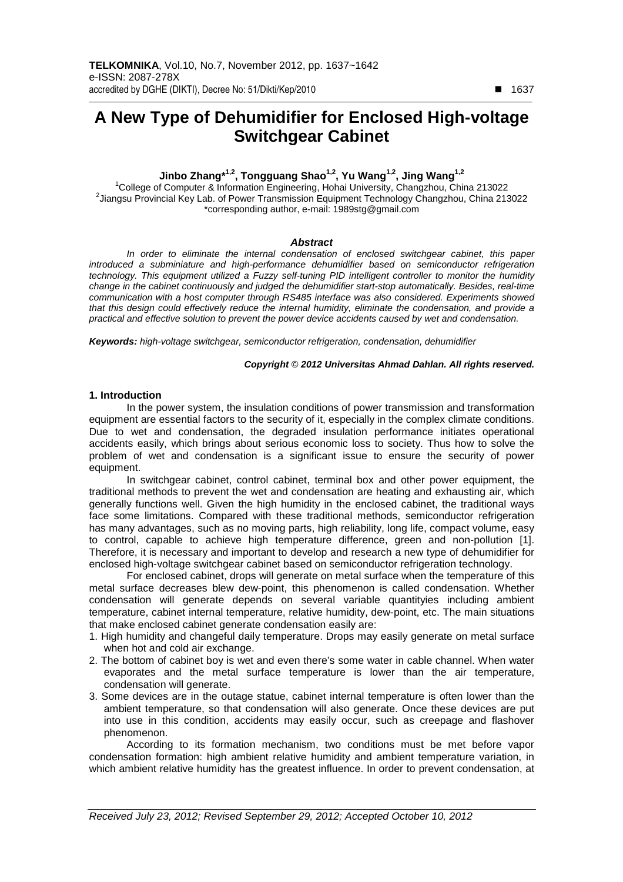# **A New Type of Dehumidifier for Enclosed High-voltage Switchgear Cabinet**

# **Jinbo Zhang\*1,2, Tongguang Shao1,2, Yu Wang1,2, Jing Wang1,2**

<sup>1</sup>College of Computer & Information Engineering, Hohai University, Changzhou, China 213022 2 Jiangsu Provincial Key Lab. of Power Transmission Equipment Technology Changzhou, China 213022 \*corresponding author, e-mail: 1989stg@gmail.com

#### **Abstract**

In order to eliminate the internal condensation of enclosed switchgear cabinet, this paper introduced a subminiature and high-performance dehumidifier based on semiconductor refrigeration technology. This equipment utilized a Fuzzy self-tuning PID intelligent controller to monitor the humidity change in the cabinet continuously and judged the dehumidifier start-stop automatically. Besides, real-time communication with a host computer through RS485 interface was also considered. Experiments showed that this design could effectively reduce the internal humidity, eliminate the condensation, and provide a practical and effective solution to prevent the power device accidents caused by wet and condensation.

**Keywords:** high-voltage switchgear, semiconductor refrigeration, condensation, dehumidifier

#### **Copyright** © **2012 Universitas Ahmad Dahlan. All rights reserved.**

#### **1. Introduction**

In the power system, the insulation conditions of power transmission and transformation equipment are essential factors to the security of it, especially in the complex climate conditions. Due to wet and condensation, the degraded insulation performance initiates operational accidents easily, which brings about serious economic loss to society. Thus how to solve the problem of wet and condensation is a significant issue to ensure the security of power equipment.

In switchgear cabinet, control cabinet, terminal box and other power equipment, the traditional methods to prevent the wet and condensation are heating and exhausting air, which generally functions well. Given the high humidity in the enclosed cabinet, the traditional ways face some limitations. Compared with these traditional methods, semiconductor refrigeration has many advantages, such as no moving parts, high reliability, long life, compact volume, easy to control, capable to achieve high temperature difference, green and non-pollution [1]. Therefore, it is necessary and important to develop and research a new type of dehumidifier for enclosed high-voltage switchgear cabinet based on semiconductor refrigeration technology.

For enclosed cabinet, drops will generate on metal surface when the temperature of this metal surface decreases blew dew-point, this phenomenon is called condensation. Whether condensation will generate depends on several variable quantityies including ambient temperature, cabinet internal temperature, relative humidity, dew-point, etc. The main situations that make enclosed cabinet generate condensation easily are:

- 1. High humidity and changeful daily temperature. Drops may easily generate on metal surface when hot and cold air exchange.
- 2. The bottom of cabinet boy is wet and even there's some water in cable channel. When water evaporates and the metal surface temperature is lower than the air temperature, condensation will generate.
- 3. Some devices are in the outage statue, cabinet internal temperature is often lower than the ambient temperature, so that condensation will also generate. Once these devices are put into use in this condition, accidents may easily occur, such as creepage and flashover phenomenon.

According to its formation mechanism, two conditions must be met before vapor condensation formation: high ambient relative humidity and ambient temperature variation, in which ambient relative humidity has the greatest influence. In order to prevent condensation, at

-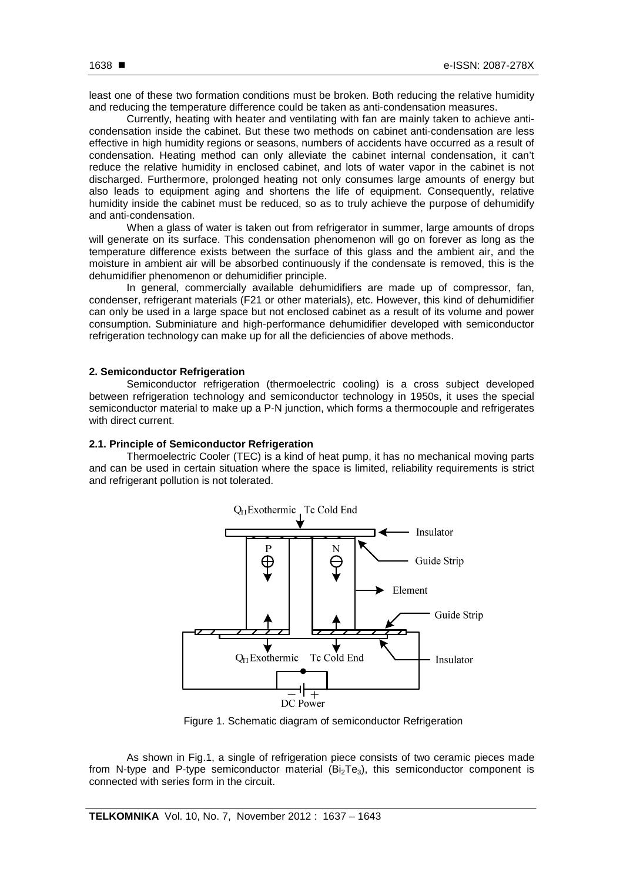least one of these two formation conditions must be broken. Both reducing the relative humidity and reducing the temperature difference could be taken as anti-condensation measures.

Currently, heating with heater and ventilating with fan are mainly taken to achieve anticondensation inside the cabinet. But these two methods on cabinet anti-condensation are less effective in high humidity regions or seasons, numbers of accidents have occurred as a result of condensation. Heating method can only alleviate the cabinet internal condensation, it can't reduce the relative humidity in enclosed cabinet, and lots of water vapor in the cabinet is not discharged. Furthermore, prolonged heating not only consumes large amounts of energy but also leads to equipment aging and shortens the life of equipment. Consequently, relative humidity inside the cabinet must be reduced, so as to truly achieve the purpose of dehumidify and anti-condensation.

When a glass of water is taken out from refrigerator in summer, large amounts of drops will generate on its surface. This condensation phenomenon will go on forever as long as the temperature difference exists between the surface of this glass and the ambient air, and the moisture in ambient air will be absorbed continuously if the condensate is removed, this is the dehumidifier phenomenon or dehumidifier principle.

In general, commercially available dehumidifiers are made up of compressor, fan, condenser, refrigerant materials (F21 or other materials), etc. However, this kind of dehumidifier can only be used in a large space but not enclosed cabinet as a result of its volume and power consumption. Subminiature and high-performance dehumidifier developed with semiconductor refrigeration technology can make up for all the deficiencies of above methods.

# **2. Semiconductor Refrigeration**

Semiconductor refrigeration (thermoelectric cooling) is a cross subject developed between refrigeration technology and semiconductor technology in 1950s, it uses the special semiconductor material to make up a P-N junction, which forms a thermocouple and refrigerates with direct current.

## **2.1. Principle of Semiconductor Refrigeration**

Thermoelectric Cooler (TEC) is a kind of heat pump, it has no mechanical moving parts and can be used in certain situation where the space is limited, reliability requirements is strict and refrigerant pollution is not tolerated.



Figure 1. Schematic diagram of semiconductor Refrigeration

As shown in Fig.1, a single of refrigeration piece consists of two ceramic pieces made from N-type and P-type semiconductor material  $(Bi<sub>2</sub>Te<sub>3</sub>)$ , this semiconductor component is connected with series form in the circuit.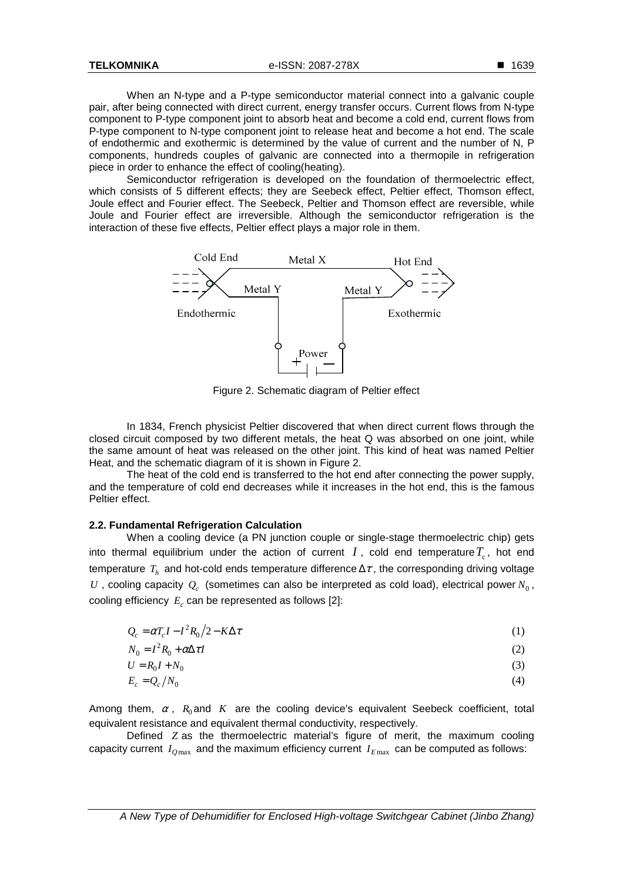When an N-type and a P-type semiconductor material connect into a galvanic couple pair, after being connected with direct current, energy transfer occurs. Current flows from N-type component to P-type component joint to absorb heat and become a cold end, current flows from P-type component to N-type component joint to release heat and become a hot end. The scale of endothermic and exothermic is determined by the value of current and the number of N, P components, hundreds couples of galvanic are connected into a thermopile in refrigeration piece in order to enhance the effect of cooling(heating).

Semiconductor refrigeration is developed on the foundation of thermoelectric effect. which consists of 5 different effects; they are Seebeck effect, Peltier effect, Thomson effect, Joule effect and Fourier effect. The Seebeck, Peltier and Thomson effect are reversible, while Joule and Fourier effect are irreversible. Although the semiconductor refrigeration is the interaction of these five effects, Peltier effect plays a major role in them.



Figure 2. Schematic diagram of Peltier effect

In 1834, French physicist Peltier discovered that when direct current flows through the closed circuit composed by two different metals, the heat Q was absorbed on one joint, while the same amount of heat was released on the other joint. This kind of heat was named Peltier Heat, and the schematic diagram of it is shown in Figure 2.

The heat of the cold end is transferred to the hot end after connecting the power supply, and the temperature of cold end decreases while it increases in the hot end, this is the famous Peltier effect.

# **2.2. Fundamental Refrigeration Calculation**

When a cooling device (a PN junction couple or single-stage thermoelectric chip) gets into thermal equilibrium under the action of current  $I$ , cold end temperature  $T_c$ , hot end temperature  $T_h$  and hot-cold ends temperature difference  $\Delta\tau$  , the corresponding driving voltage  $U$ , cooling capacity  $Q_c$  (sometimes can also be interpreted as cold load), electrical power  $N_0$ , cooling efficiency  $E_c$  can be represented as follows [2]:

| $Q_c = \alpha T_c I - I^2 R_0 / 2 - K \Delta \tau$ |  |  |
|----------------------------------------------------|--|--|
|----------------------------------------------------|--|--|

$$
N_0 = I^2 R_0 + \alpha \Delta \tau I \tag{2}
$$

$$
U = R_0 I + N_0 \tag{3}
$$

$$
E_c = Q_c / N_0 \tag{4}
$$

Among them,  $\alpha$ ,  $R_0$  and  $K$  are the cooling device's equivalent Seebeck coefficient, total equivalent resistance and equivalent thermal conductivity, respectively.

Defined *Z* as the thermoelectric material's figure of merit, the maximum cooling capacity current  $I_{Omax}$  and the maximum efficiency current  $I_{Emax}$  can be computed as follows: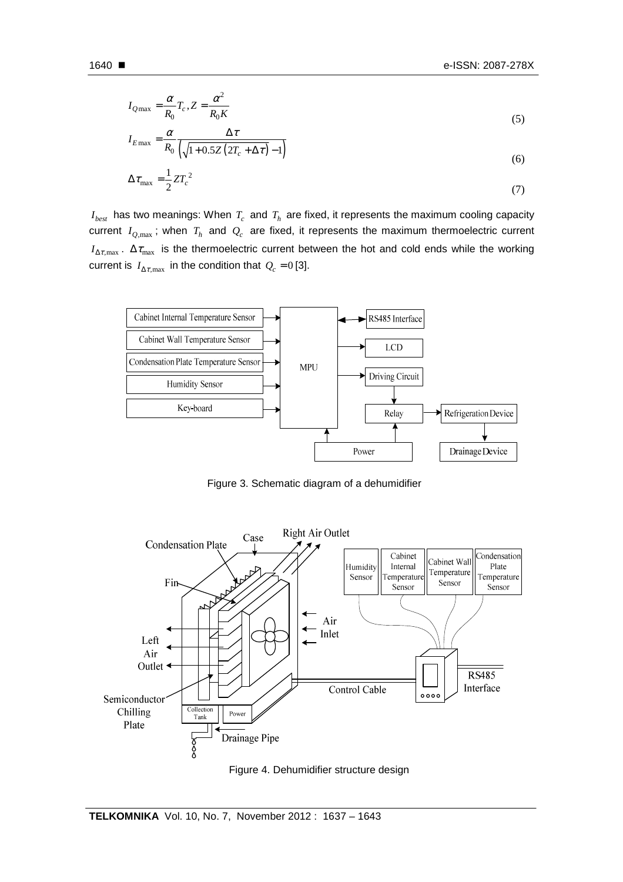$$
1640 \blacksquare
$$

$$
I_{Q\text{max}} = \frac{\alpha}{R_0} T_c, Z = \frac{\alpha^2}{R_0 K}
$$
\n<sup>(5)</sup>

$$
I_{E\max} = \frac{\alpha}{R_0} \frac{\Delta \tau}{\left(\sqrt{1 + 0.5Z \left(2T_c + \Delta \tau\right)} - 1\right)}
$$
(6)

$$
\Delta \tau_{\text{max}} = \frac{1}{2} Z T_c^2 \tag{7}
$$

 $I_{best}$  has two meanings: When  $T_c$  and  $T_h$  are fixed, it represents the maximum cooling capacity current  $I_{Q,\max}$ ; when  $T_h$  and  $Q_c$  are fixed, it represents the maximum thermoelectric current  $I_{\Delta\tau, \max}$ .  $\Delta\tau_{\max}$  is the thermoelectric current between the hot and cold ends while the working current is  $I_{\Delta \tau, \max}$  in the condition that  $Q_c = 0$  [3].



Figure 3. Schematic diagram of a dehumidifier



Figure 4. Dehumidifier structure design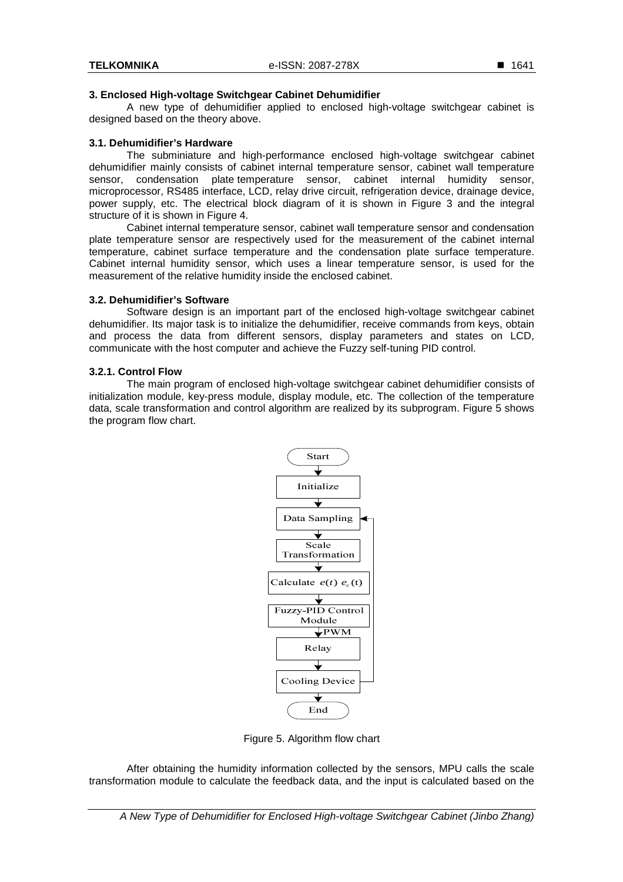#### **3. Enclosed High-voltage Switchgear Cabinet Dehumidifier**

A new type of dehumidifier applied to enclosed high-voltage switchgear cabinet is designed based on the theory above.

#### **3.1. Dehumidifier's Hardware**

The subminiature and high-performance enclosed high-voltage switchgear cabinet dehumidifier mainly consists of cabinet internal temperature sensor, cabinet wall temperature sensor, condensation plate temperature sensor, cabinet internal humidity sensor, microprocessor, RS485 interface, LCD, relay drive circuit, refrigeration device, drainage device, power supply, etc. The electrical block diagram of it is shown in Figure 3 and the integral structure of it is shown in Figure 4.

Cabinet internal temperature sensor, cabinet wall temperature sensor and condensation plate temperature sensor are respectively used for the measurement of the cabinet internal temperature, cabinet surface temperature and the condensation plate surface temperature. Cabinet internal humidity sensor, which uses a linear temperature sensor, is used for the measurement of the relative humidity inside the enclosed cabinet.

#### **3.2. Dehumidifier's Software**

Software design is an important part of the enclosed high-voltage switchgear cabinet dehumidifier. Its major task is to initialize the dehumidifier, receive commands from keys, obtain and process the data from different sensors, display parameters and states on LCD, communicate with the host computer and achieve the Fuzzy self-tuning PID control.

#### **3.2.1. Control Flow**

The main program of enclosed high-voltage switchgear cabinet dehumidifier consists of initialization module, key-press module, display module, etc. The collection of the temperature data, scale transformation and control algorithm are realized by its subprogram. Figure 5 shows the program flow chart.



Figure 5. Algorithm flow chart

After obtaining the humidity information collected by the sensors, MPU calls the scale transformation module to calculate the feedback data, and the input is calculated based on the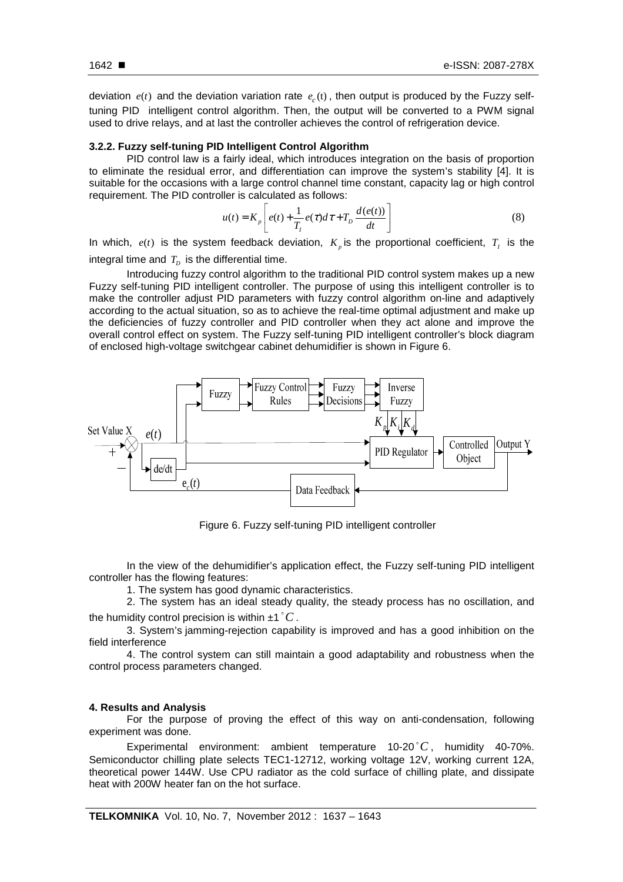deviation  $e(t)$  and the deviation variation rate  $e_c(t)$ , then output is produced by the Fuzzy selftuning PID intelligent control algorithm. Then, the output will be converted to a PWM signal used to drive relays, and at last the controller achieves the control of refrigeration device.

# **3.2.2. Fuzzy self-tuning PID Intelligent Control Algorithm**

PID control law is a fairly ideal, which introduces integration on the basis of proportion to eliminate the residual error, and differentiation can improve the system's stability [4]. It is suitable for the occasions with a large control channel time constant, capacity lag or high control requirement. The PID controller is calculated as follows:

$$
u(t) = K_p \left[ e(t) + \frac{1}{T_t} e(\tau) d\tau + T_p \frac{d(e(t))}{dt} \right]
$$
 (8)

In which,  $e(t)$  is the system feedback deviation,  $K_p$  is the proportional coefficient,  $T_I$  is the integral time and  $T_D$  is the differential time.

Introducing fuzzy control algorithm to the traditional PID control system makes up a new Fuzzy self-tuning PID intelligent controller. The purpose of using this intelligent controller is to make the controller adjust PID parameters with fuzzy control algorithm on-line and adaptively according to the actual situation, so as to achieve the real-time optimal adjustment and make up the deficiencies of fuzzy controller and PID controller when they act alone and improve the overall control effect on system. The Fuzzy self-tuning PID intelligent controller's block diagram of enclosed high-voltage switchgear cabinet dehumidifier is shown in Figure 6.



Figure 6. Fuzzy self-tuning PID intelligent controller

In the view of the dehumidifier's application effect, the Fuzzy self-tuning PID intelligent controller has the flowing features:

1. The system has good dynamic characteristics.

2. The system has an ideal steady quality, the steady process has no oscillation, and the humidity control precision is within  $\pm 1 \degree C$  .

3. System's jamming-rejection capability is improved and has a good inhibition on the field interference

4. The control system can still maintain a good adaptability and robustness when the control process parameters changed.

#### **4. Results and Analysis**

For the purpose of proving the effect of this way on anti-condensation, following experiment was done.

Experimental environment: ambient temperature  $10\text{-}20\degree C$ , humidity 40-70%. Semiconductor chilling plate selects TEC1-12712, working voltage 12V, working current 12A, theoretical power 144W. Use CPU radiator as the cold surface of chilling plate, and dissipate heat with 200W heater fan on the hot surface.